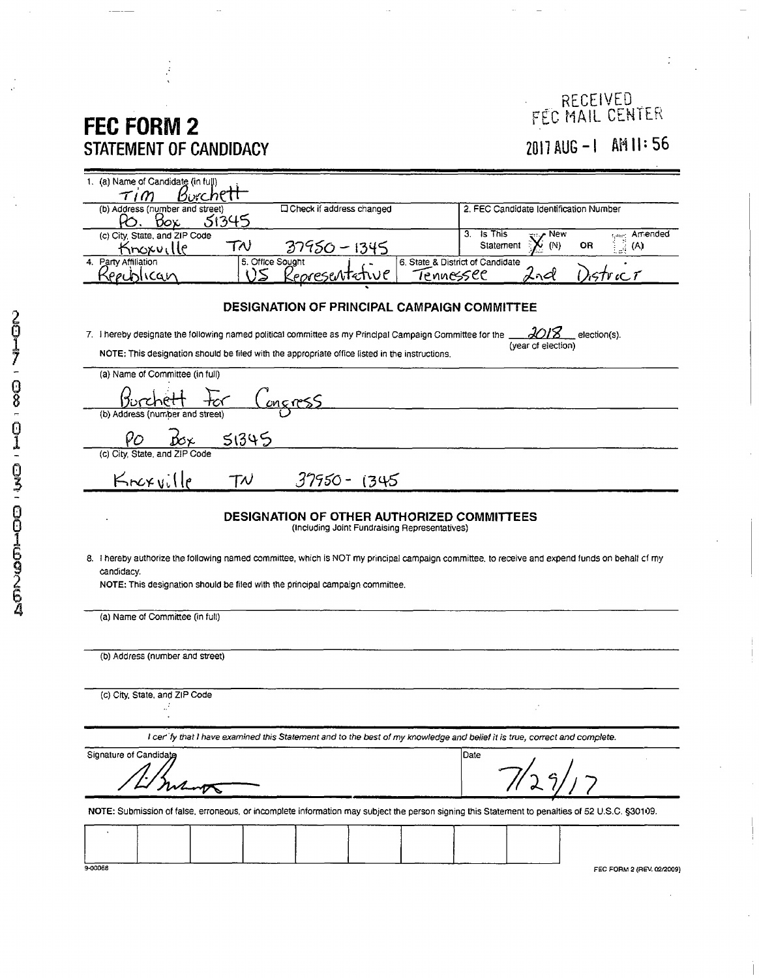## **FEC FORIVI2 STATEMENT OF CANDIDACY**

## RECEIVED FEC MAIL CENTER **2011 AUG-I AH 11-56**

| 1. (a) Name of Candidate (in full)<br>Kurcht<br>$\tau$ 1                                                                                                                                                                                      |                                                                                                                                  |
|-----------------------------------------------------------------------------------------------------------------------------------------------------------------------------------------------------------------------------------------------|----------------------------------------------------------------------------------------------------------------------------------|
| <b>Check if address changed</b><br>(b) Address (number and street)<br>51345<br>Όοχ                                                                                                                                                            | 2. FEC Candidate Identification Number                                                                                           |
| (c) City, State, and ZIP Code<br>TN<br>37950 - 1345<br>Knoxville                                                                                                                                                                              | 3. Is This<br>Arriended<br>New<br>$\frac{1}{2}^{\rm star}$<br>$\stackrel{\rightarrow}{\mathbb{R}}$ (A)<br>Statement<br>(N)<br>0R |
| 5. Office Sought<br>4. Party Affiliation<br>()S<br>rechlican<br><u>'eorese</u> ntetwe<br>Tennessee                                                                                                                                            | 6. State & District of Candidate<br>$\cdot$ ncl<br>strict                                                                        |
| <b>DESIGNATION OF PRINCIPAL CAMPAIGN COMMITTEE</b>                                                                                                                                                                                            |                                                                                                                                  |
| 7. I hereby designate the following named political committee as my Principal Campaign Committee for the<br>election(s).<br>(year of election)                                                                                                |                                                                                                                                  |
| NOTE: This designation should be filed with the appropriate office listed in the instructions.                                                                                                                                                |                                                                                                                                  |
| (a) Name of Committee (in full)                                                                                                                                                                                                               |                                                                                                                                  |
| <u>ongress</u><br>(b) Address (number and street)                                                                                                                                                                                             |                                                                                                                                  |
| 51345                                                                                                                                                                                                                                         |                                                                                                                                  |
| (c) City, State, and ZIP Code                                                                                                                                                                                                                 |                                                                                                                                  |
| Knexville<br>$37950 - 1345$<br>${\tau \nu}$                                                                                                                                                                                                   |                                                                                                                                  |
| <b>DESIGNATION OF OTHER AUTHORIZED COMMITTEES</b><br>(Including Joint Fundraising Representatives)                                                                                                                                            |                                                                                                                                  |
| 8. I hereby authorize the following named committee, which is NOT my principal campaign committee, to receive and expend funds on behalf of my<br>candidacy.<br>NOTE: This designation should be filed with the principal campaign committee. |                                                                                                                                  |
| (a) Name of Committee (in full)                                                                                                                                                                                                               |                                                                                                                                  |
| (b) Address (number and street)                                                                                                                                                                                                               |                                                                                                                                  |
|                                                                                                                                                                                                                                               |                                                                                                                                  |
| (c) City, State, and ZIP Code                                                                                                                                                                                                                 |                                                                                                                                  |
| I cer' fy that I have examined this Statement and to the best of my knowledge and belief it is true, correct and complete.                                                                                                                    |                                                                                                                                  |
| Signature of Candidate                                                                                                                                                                                                                        | Date                                                                                                                             |
|                                                                                                                                                                                                                                               |                                                                                                                                  |
| NOTE: Submission of false, erroneous, or incomplete information may subject the person signing this Statement to penalties of 52 U.S.C. §30109.                                                                                               |                                                                                                                                  |
|                                                                                                                                                                                                                                               |                                                                                                                                  |
| 9-00068                                                                                                                                                                                                                                       | FEC FORM 2 (REV. 02/2009)                                                                                                        |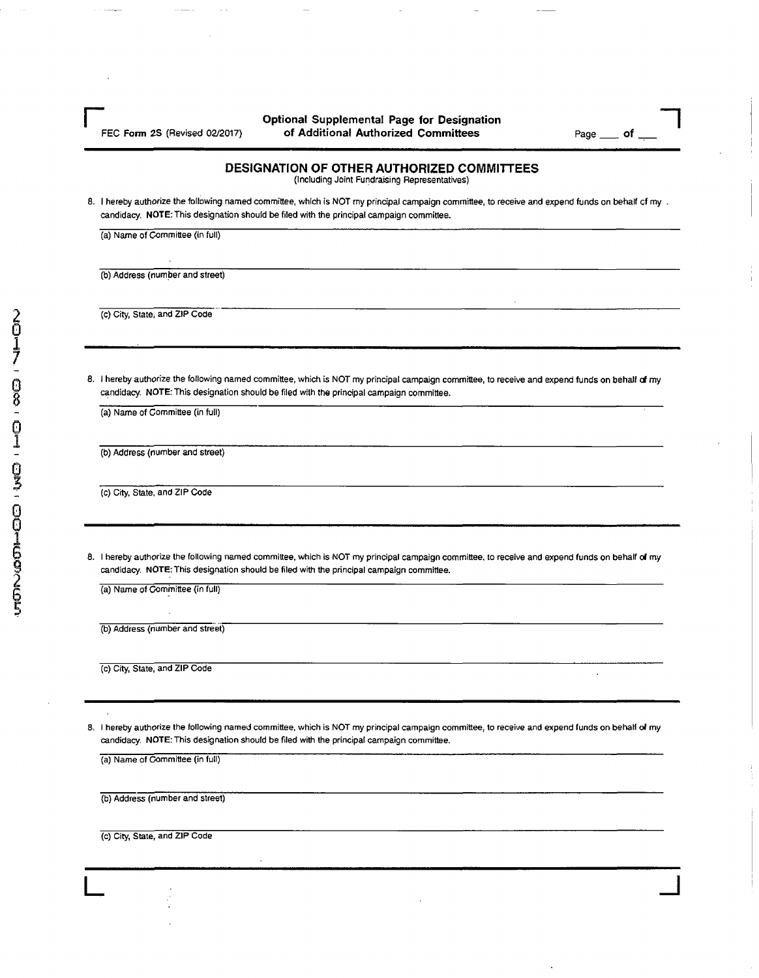**Particle Controllering Controllering Controllering Controllering Controllering Controllering Controllering Controllering Controllering Controllering Controllering Controllering Controllering Controllering Controllering Co** FEC Form 2S (Revised 02/2017) of Additional Authorized Committees Page of Let  $P$ 

## **DESIGNATION OF OTHER AUTHORIZED COMMITTEES**

(Including Joint Fundraising Representatives)

8. I hereby authorize the following named committee, which is NOT my principal campaign committee, to receive and expend funds on behalf of my , candidacy. NOTE: This designation should be filed with the principal campaign committee.

(a) Name of Committee (in full)

(b) Address (number and street)

(c) City, State, and ZIP Code

8. I hereby authorize the following named committee, which is NOT my principal campaign committee, to receive and expend funds on behalf of my candidacy. NOTE: This designation should be filed with the principal campaign committee.

(a) Name of Committee (in full)

(b) Address (number and street)

(c) City, State, and ZIP Code

8. I hereby authorize the following named committee, which is NOT my principal campaign committee, to receive and expend funds on behalf of my candidacy. NOTE: This designation should be filed with the principal campaign committee.

(a) Name of Committee (in full)

(b) Address (number and street)

(c) City, State, and ZIP Code

8. I hereby authorize the following named committee, which is NOT my principal campaign committee, to receive and expend funds on behalf of my candidacy. NOTE: This designation should be filed with the principal campaign committee.

**L** J **J L** 

(a) Name of Committee (in full)

(b) Address (number and street)

(c) City, State, and ZIP Code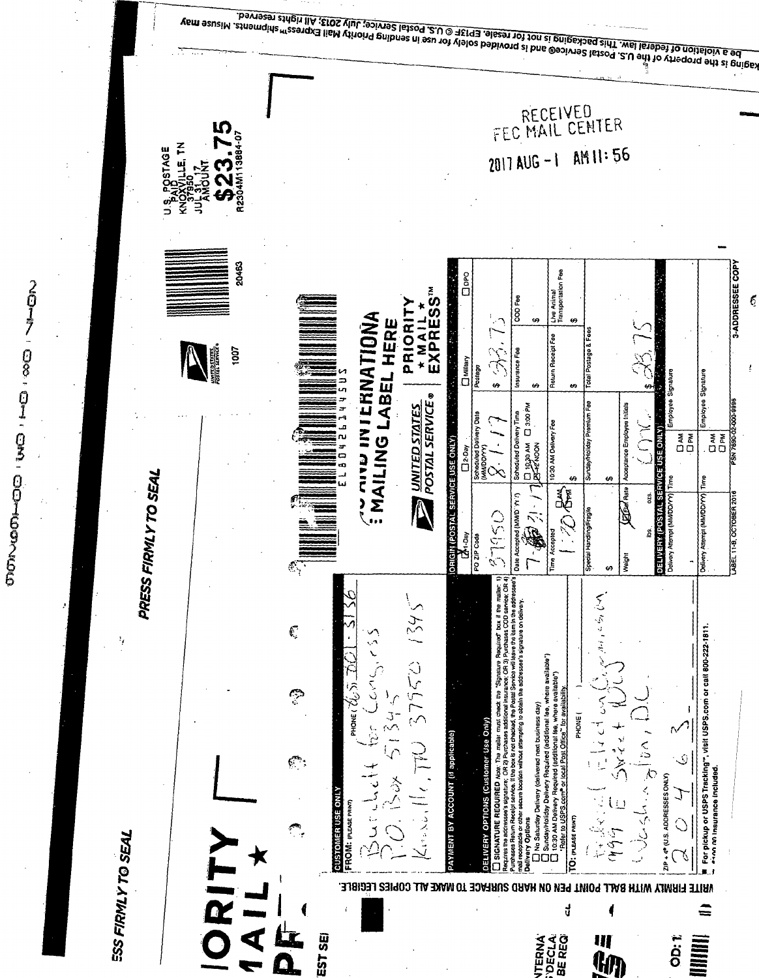